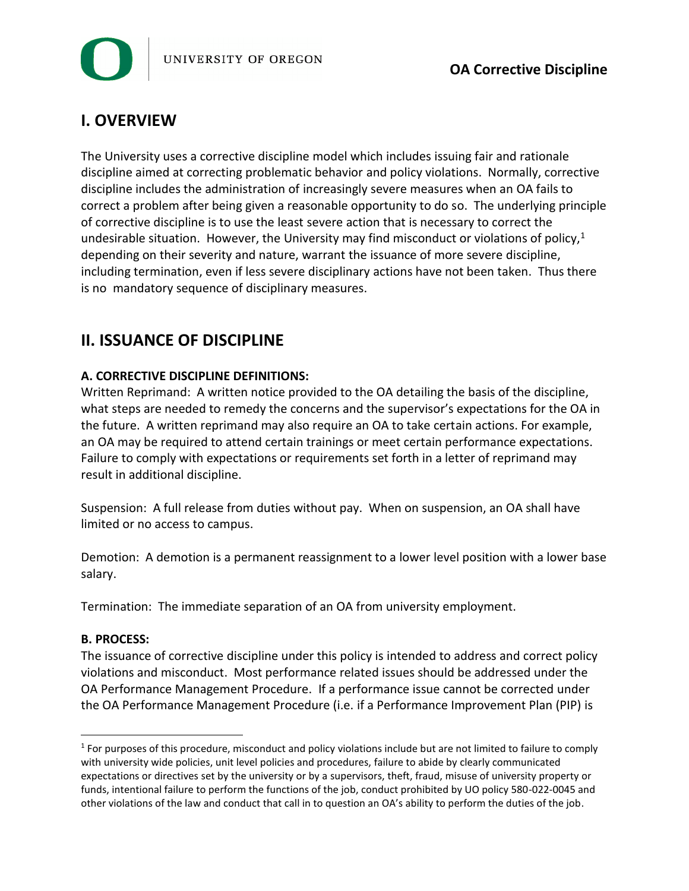

# **I. OVERVIEW**

The University uses a corrective discipline model which includes issuing fair and rationale discipline aimed at correcting problematic behavior and policy violations. Normally, corrective discipline includes the administration of increasingly severe measures when an OA fails to correct a problem after being given a reasonable opportunity to do so. The underlying principle of corrective discipline is to use the least severe action that is necessary to correct the undesirable situation. However, the University may find misconduct or violations of policy, $1$ depending on their severity and nature, warrant the issuance of more severe discipline, including termination, even if less severe disciplinary actions have not been taken. Thus there is no mandatory sequence of disciplinary measures.

## **II. ISSUANCE OF DISCIPLINE**

### **A. CORRECTIVE DISCIPLINE DEFINITIONS:**

Written Reprimand: A written notice provided to the OA detailing the basis of the discipline, what steps are needed to remedy the concerns and the supervisor's expectations for the OA in the future. A written reprimand may also require an OA to take certain actions. For example, an OA may be required to attend certain trainings or meet certain performance expectations. Failure to comply with expectations or requirements set forth in a letter of reprimand may result in additional discipline.

Suspension: A full release from duties without pay. When on suspension, an OA shall have limited or no access to campus.

Demotion: A demotion is a permanent reassignment to a lower level position with a lower base salary.

Termination: The immediate separation of an OA from university employment.

#### **B. PROCESS:**

l

The issuance of corrective discipline under this policy is intended to address and correct policy violations and misconduct. Most performance related issues should be addressed under the OA Performance Management Procedure. If a performance issue cannot be corrected under the OA Performance Management Procedure (i.e. if a Performance Improvement Plan (PIP) is

 $1$  For purposes of this procedure, misconduct and policy violations include but are not limited to failure to comply with university wide policies, unit level policies and procedures, failure to abide by clearly communicated expectations or directives set by the university or by a supervisors, theft, fraud, misuse of university property or funds, intentional failure to perform the functions of the job, conduct prohibited by UO policy 580-022-0045 and other violations of the law and conduct that call in to question an OA's ability to perform the duties of the job.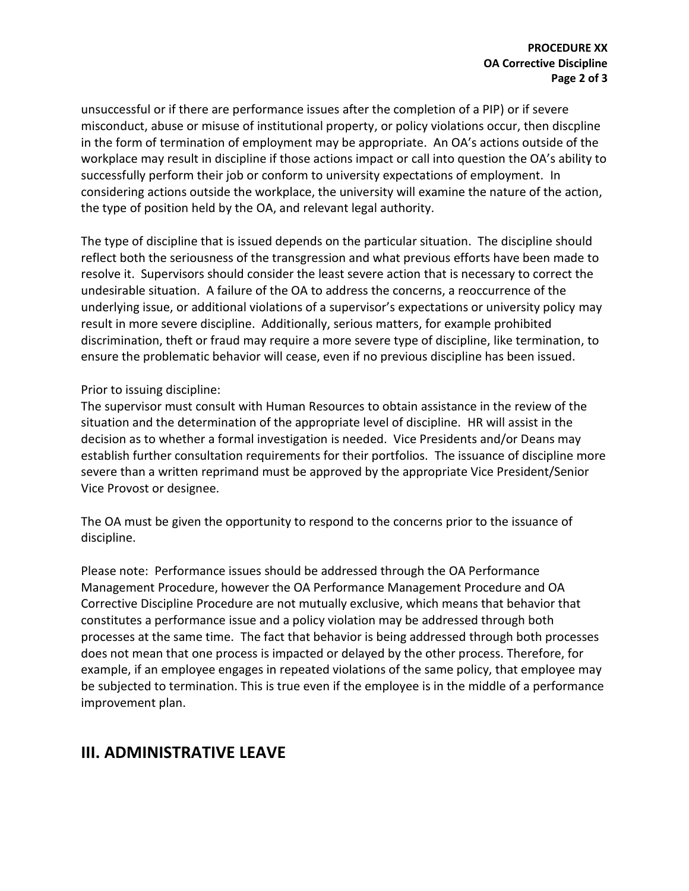unsuccessful or if there are performance issues after the completion of a PIP) or if severe misconduct, abuse or misuse of institutional property, or policy violations occur, then discpline in the form of termination of employment may be appropriate. An OA's actions outside of the workplace may result in discipline if those actions impact or call into question the OA's ability to successfully perform their job or conform to university expectations of employment. In considering actions outside the workplace, the university will examine the nature of the action, the type of position held by the OA, and relevant legal authority.

The type of discipline that is issued depends on the particular situation. The discipline should reflect both the seriousness of the transgression and what previous efforts have been made to resolve it. Supervisors should consider the least severe action that is necessary to correct the undesirable situation. A failure of the OA to address the concerns, a reoccurrence of the underlying issue, or additional violations of a supervisor's expectations or university policy may result in more severe discipline. Additionally, serious matters, for example prohibited discrimination, theft or fraud may require a more severe type of discipline, like termination, to ensure the problematic behavior will cease, even if no previous discipline has been issued.

#### Prior to issuing discipline:

The supervisor must consult with Human Resources to obtain assistance in the review of the situation and the determination of the appropriate level of discipline. HR will assist in the decision as to whether a formal investigation is needed. Vice Presidents and/or Deans may establish further consultation requirements for their portfolios. The issuance of discipline more severe than a written reprimand must be approved by the appropriate Vice President/Senior Vice Provost or designee.

The OA must be given the opportunity to respond to the concerns prior to the issuance of discipline.

Please note: Performance issues should be addressed through the OA Performance Management Procedure, however the OA Performance Management Procedure and OA Corrective Discipline Procedure are not mutually exclusive, which means that behavior that constitutes a performance issue and a policy violation may be addressed through both processes at the same time. The fact that behavior is being addressed through both processes does not mean that one process is impacted or delayed by the other process. Therefore, for example, if an employee engages in repeated violations of the same policy, that employee may be subjected to termination. This is true even if the employee is in the middle of a performance improvement plan.

### **III. ADMINISTRATIVE LEAVE**